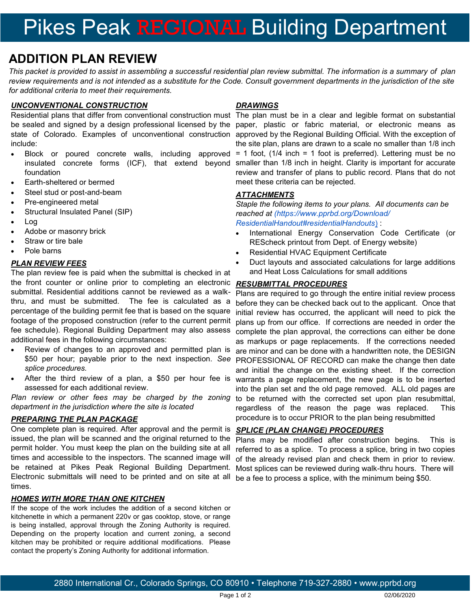# Pikes Peak REGIONAL Building Department

### **ADDITION PLAN REVIEW**

*This packet is provided to assist in assembling a successful residential plan review submittal. The information is a summary of plan review requirements and is not intended as a substitute for the Code. Consult government departments in the jurisdiction of the site for additional criteria to meet their requirements.*

#### *UNCONVENTIONAL CONSTRUCTION*

include:

- Block or poured concrete walls, including approved = 1 foot, (1/4 inch = 1 foot is preferred). Lettering must be no foundation
- Earth-sheltered or bermed
- Steel stud or post-and-beam
- Pre-engineered metal
- Structural Insulated Panel (SIP)
- Log
- Adobe or masonry brick
- Straw or tire bale
- Pole barns

#### *PLAN REVIEW FEES*

The plan review fee is paid when the submittal is checked in at the front counter or online prior to completing an electronic *RESUBMITTAL PROCEDURES* submittal. Residential additions cannot be reviewed as a walkthru, and must be submitted. The fee is calculated as a percentage of the building permit fee that is based on the square footage of the proposed construction (refer to the current permit fee schedule). Regional Building Department may also assess additional fees in the following circumstances:

- Review of changes to an approved and permitted plan is *splice procedures.*
- After the third review of a plan, a \$50 per hour fee is assessed for each additional review.

*Plan review or other fees may be charged by the zoning department in the jurisdiction where the site is located*

#### *PREPARING THE PLAN PACKAGE*

One complete plan is required. After approval and the permit is issued, the plan will be scanned and the original returned to the permit holder. You must keep the plan on the building site at all times and accessible to the inspectors. The scanned image will be retained at Pikes Peak Regional Building Department. Electronic submittals will need to be printed and on site at all times.

#### *HOMES WITH MORE THAN ONE KITCHEN*

If the scope of the work includes the addition of a second kitchen or kitchenette in which a permanent 220v or gas cooktop, stove, or range is being installed, approval through the Zoning Authority is required. Depending on the property location and current zoning, a second kitchen may be prohibited or require additional modifications. Please contact the property's Zoning Authority for additional information.

#### *DRAWINGS*

Residential plans that differ from conventional construction must The plan must be in a clear and legible format on substantial be sealed and signed by a design professional licensed by the paper, plastic or fabric material, or electronic means as state of Colorado. Examples of unconventional construction approved by the Regional Building Official. With the exception of insulated concrete forms (ICF), that extend beyond smaller than 1/8 inch in height. Clarity is important for accurate the site plan, plans are drawn to a scale no smaller than 1/8 inch review and transfer of plans to public record. Plans that do not meet these criteria can be rejected.

#### *ATTACHMENTS*

*Staple the following items to your plans. All documents can be reached at (https://www.pprbd.org/Download/ ResidentialHandout#residentialHandouts*[\)](http://www.pprbd.org/plancheck/Handouts_Res.aspx) :

- International Energy Conservation Code Certificate (or REScheck printout from Dept. of Energy website)
- Residential HVAC Equipment Certificate
- Duct layouts and associated calculations for large additions and Heat Loss Calculations for small additions

\$50 per hour; payable prior to the next inspection. *See*  PROFESSIONAL OF RECORD can make the change then date Plans are required to go through the entire initial review process before they can be checked back out to the applicant. Once that initial review has occurred, the applicant will need to pick the plans up from our office. If corrections are needed in order the complete the plan approval, the corrections can either be done as markups or page replacements. If the corrections needed are minor and can be done with a handwritten note, the DESIGN and initial the change on the existing sheet. If the correction warrants a page replacement, the new page is to be inserted into the plan set and the old page removed. ALL old pages are to be returned with the corrected set upon plan resubmittal, regardless of the reason the page was replaced. This procedure is to occur PRIOR to the plan being resubmitted

#### *SPLICE (PLAN CHANGE) PROCEDURES*

Plans may be modified after construction begins. This is referred to as a splice. To process a splice, bring in two copies of the already revised plan and check them in prior to review. Most splices can be reviewed during walk-thru hours. There will be a fee to process a splice, with the minimum being \$50.